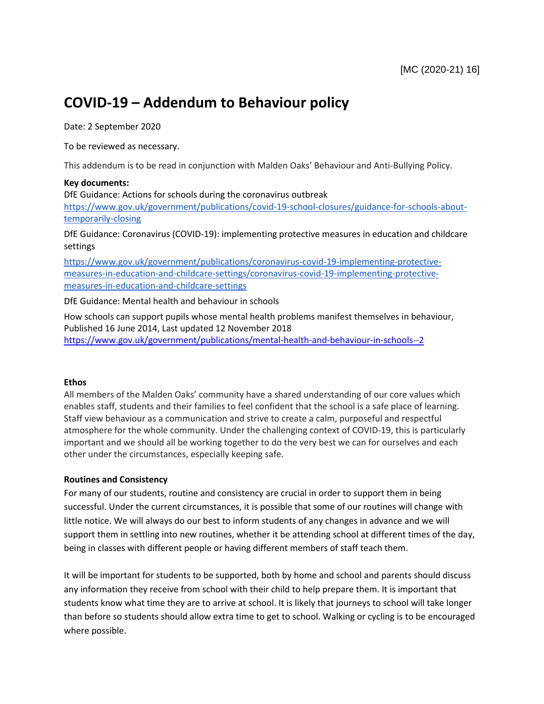# **COVID-19 – Addendum to Behaviour policy**

Date: 2 September 2020

To be reviewed as necessary.

This addendum is to be read in conjunction with Malden Oaks' Behaviour and Anti-Bullying Policy.

#### **Key documents:**

DfE Guidance: Actions for schools during the coronavirus outbreak

[https://www.gov.uk/government/publications/covid-19-school-closures/guidance-for-schools-about](https://www.gov.uk/government/publications/covid-19-school-closures/guidance-for-schools-about-temporarily-closing)[temporarily-closing](https://www.gov.uk/government/publications/covid-19-school-closures/guidance-for-schools-about-temporarily-closing)

DfE Guidance: Coronavirus (COVID-19): implementing protective measures in education and childcare settings

[https://www.gov.uk/government/publications/coronavirus-covid-19-implementing-protective](https://www.gov.uk/government/publications/coronavirus-covid-19-implementing-protective-measures-in-education-and-childcare-settings/coronavirus-covid-19-implementing-protective-measures-in-education-and-childcare-settings)[measures-in-education-and-childcare-settings/coronavirus-covid-19-implementing-protective](https://www.gov.uk/government/publications/coronavirus-covid-19-implementing-protective-measures-in-education-and-childcare-settings/coronavirus-covid-19-implementing-protective-measures-in-education-and-childcare-settings)[measures-in-education-and-childcare-settings](https://www.gov.uk/government/publications/coronavirus-covid-19-implementing-protective-measures-in-education-and-childcare-settings/coronavirus-covid-19-implementing-protective-measures-in-education-and-childcare-settings)

DfE Guidance: Mental health and behaviour in schools

How schools can support pupils whose mental health problems manifest themselves in behaviour, Published 16 June 2014, Last updated 12 November 2018 <https://www.gov.uk/government/publications/mental-health-and-behaviour-in-schools--2>

### **Ethos**

All members of the Malden Oaks' community have a shared understanding of our core values which enables staff, students and their families to feel confident that the school is a safe place of learning. Staff view behaviour as a communication and strive to create a calm, purposeful and respectful atmosphere for the whole community. Under the challenging context of COVID-19, this is particularly important and we should all be working together to do the very best we can for ourselves and each other under the circumstances, especially keeping safe.

### **Routines and Consistency**

For many of our students, routine and consistency are crucial in order to support them in being successful. Under the current circumstances, it is possible that some of our routines will change with little notice. We will always do our best to inform students of any changes in advance and we will support them in settling into new routines, whether it be attending school at different times of the day, being in classes with different people or having different members of staff teach them.

It will be important for students to be supported, both by home and school and parents should discuss any information they receive from school with their child to help prepare them. It is important that students know what time they are to arrive at school. It is likely that journeys to school will take longer than before so students should allow extra time to get to school. Walking or cycling is to be encouraged where possible.